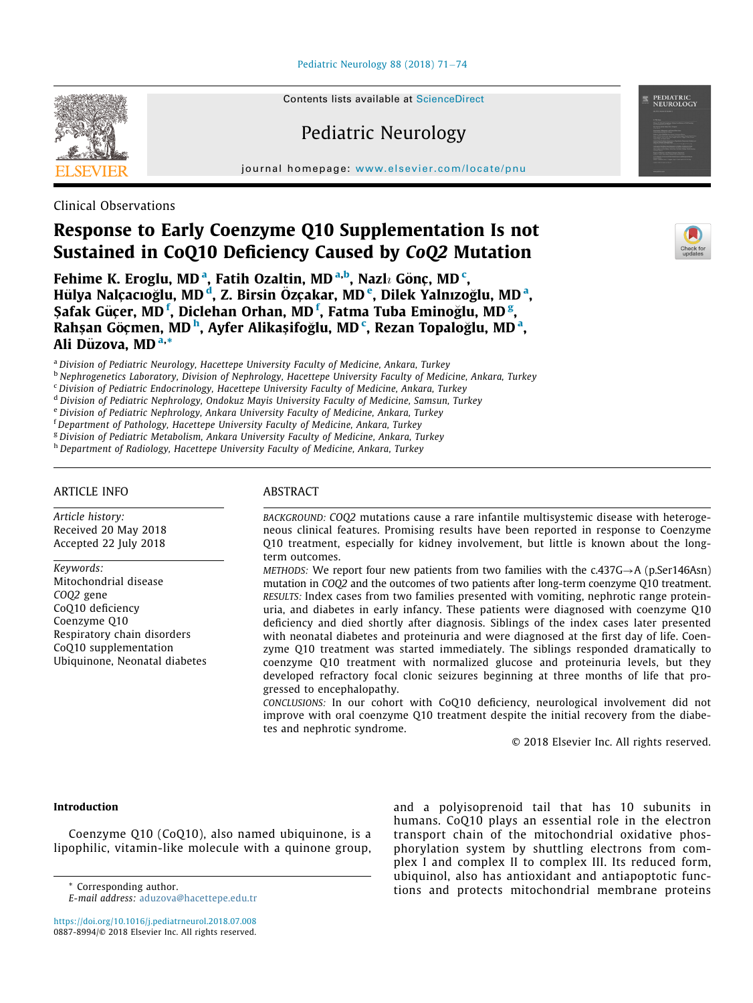Pediatric Neurology 88 (2018)  $71-74$  $71-74$ 

Contents lists available at ScienceDirect

# Pediatric Neurology

journal homepage: [www.elsevier.com/locate/pnu](http://www.elsevier.com/locate/pnu)

Clinical Observations

# Response to Early Coenzyme Q10 Supplementation Is not Sustained in CoQ10 Deficiency Caused by CoQ2 Mutation

Fehime K. Eroglu, MD<sup>[a](#page-0-0)</sup>, Fatih Ozaltin, MD<sup>[a,](#page-0-0)[b](#page-0-1)</sup>, Nazlı Gönç, MD<sup>[c](#page-0-2)</sup>, Hülya Nalçacıoğlu, MD<sup>'[d](#page-0-3)</sup>, Z. Birsin Özçakar, MD'<sup>[e](#page-0-4)</sup>, Dilek Y[a](#page-0-0)lnızoğlu, MD<sup>'a</sup>, Şa[f](#page-0-5)ak Güçer, MD $^{\rm f}$ , Diclehan Orhan, MD $^{\rm f}$ , Fatma Tuba Eminoğlu, MD $^{\rm g}$  $^{\rm g}$  $^{\rm g}$ , Ra[h](#page-0-7)şan Göçmen, MD<sup>h</sup>, Ayfer Alikaşifoğlu, MD<sup>[c](#page-0-2)</sup>, Rez[a](#page-0-0)n Topaloğlu, MD<sup>a</sup>, Ali Düzov[a,](#page-0-0) MD<sup>a,</sup>\*

<span id="page-0-0"></span><sup>a</sup> Division of Pediatric Neurology, Hacettepe University Faculty of Medicine, Ankara, Turkey

<span id="page-0-1"></span><sup>b</sup> Nephrogenetics Laboratory, Division of Nephrology, Hacettepe University Faculty of Medicine, Ankara, Turkey

<span id="page-0-2"></span><sup>c</sup> Division of Pediatric Endocrinology, Hacettepe University Faculty of Medicine, Ankara, Turkey

<span id="page-0-3"></span><sup>d</sup> Division of Pediatric Nephrology, Ondokuz Mayis University Faculty of Medicine, Samsun, Turkey

<span id="page-0-5"></span><span id="page-0-4"></span><sup>e</sup> Division of Pediatric Nephrology, Ankara University Faculty of Medicine, Ankara, Turkey

<sup>f</sup> Department of Pathology, Hacettepe University Faculty of Medicine, Ankara, Turkey

<span id="page-0-6"></span><sup>g</sup> Division of Pediatric Metabolism, Ankara University Faculty of Medicine, Ankara, Turkey

<span id="page-0-7"></span>h Department of Radiology, Hacettepe University Faculty of Medicine, Ankara, Turkey

## ARTICLE INFO

Article history: Received 20 May 2018 Accepted 22 July 2018

Keywords: Mitochondrial disease COQ2 gene CoQ10 deficiency Coenzyme Q10 Respiratory chain disorders CoQ10 supplementation Ubiquinone, Neonatal diabetes

## ABSTRACT

BACKGROUND: COQ2 mutations cause a rare infantile multisystemic disease with heterogeneous clinical features. Promising results have been reported in response to Coenzyme Q10 treatment, especially for kidney involvement, but little is known about the longterm outcomes.

METHODS: We report four new patients from two families with the  $c.437G \rightarrow A$  (p.Ser146Asn) mutation in COQ2 and the outcomes of two patients after long-term coenzyme Q10 treatment. RESULTS: Index cases from two families presented with vomiting, nephrotic range proteinuria, and diabetes in early infancy. These patients were diagnosed with coenzyme Q10 deficiency and died shortly after diagnosis. Siblings of the index cases later presented with neonatal diabetes and proteinuria and were diagnosed at the first day of life. Coenzyme Q10 treatment was started immediately. The siblings responded dramatically to coenzyme Q10 treatment with normalized glucose and proteinuria levels, but they developed refractory focal clonic seizures beginning at three months of life that progressed to encephalopathy.

CONCLUSIONS: In our cohort with CoQ10 deficiency, neurological involvement did not improve with oral coenzyme Q10 treatment despite the initial recovery from the diabetes and nephrotic syndrome.

© 2018 Elsevier Inc. All rights reserved.

## Introduction

Coenzyme Q10 (CoQ10), also named ubiquinone, is a lipophilic, vitamin-like molecule with a quinone group,

<https://doi.org/10.1016/j.pediatrneurol.2018.07.008> 0887-8994/© 2018 Elsevier Inc. All rights reserved.

and a polyisoprenoid tail that has 10 subunits in humans. CoQ10 plays an essential role in the electron transport chain of the mitochondrial oxidative phosphorylation system by shuttling electrons from complex I and complex II to complex III. Its reduced form, ubiquinol, also has antioxidant and antiapoptotic func-\* Corresponding author. The corresponding author.



PEDIATRIC<br>NEUROLOGY

E-mail address: [aduzova@hacettepe.edu.tr](mailto:aduzova@hacettepe.edu.tr)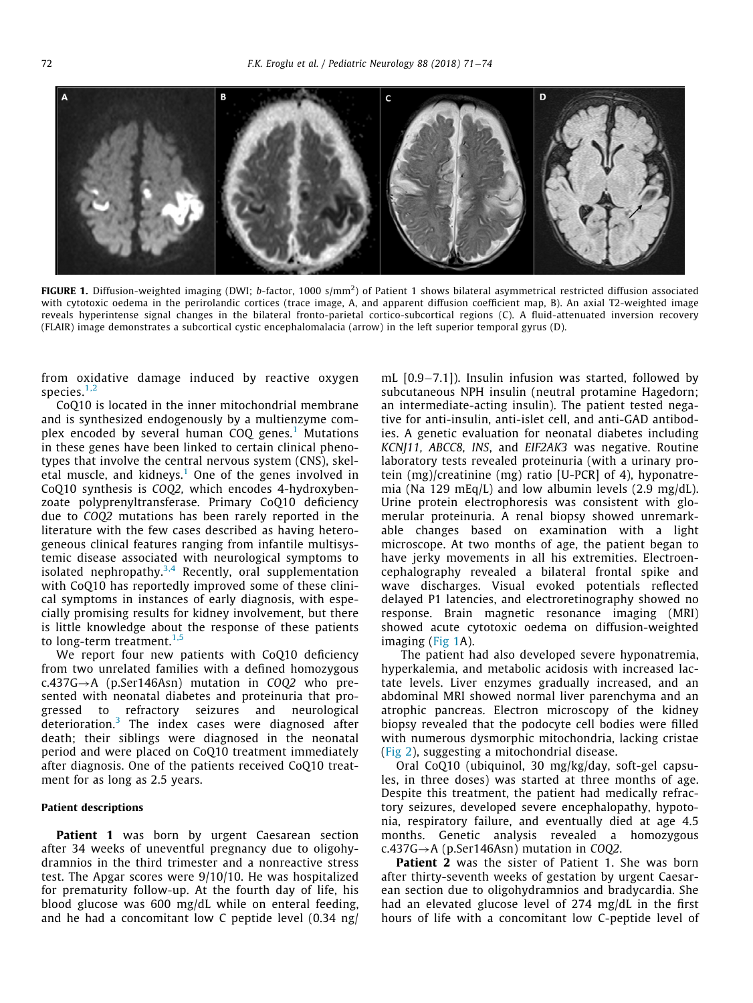<span id="page-1-0"></span>

FIGURE 1. Diffusion-weighted imaging (DWI; b-factor, 1000 s/mm $^2$ ) of Patient 1 shows bilateral asymmetrical restricted diffusion associated with cytotoxic oedema in the perirolandic cortices (trace image, A, and apparent diffusion coefficient map, B). An axial T2-weighted image reveals hyperintense signal changes in the bilateral fronto-parietal cortico-subcortical regions (C). A fluid-attenuated inversion recovery (FLAIR) image demonstrates a subcortical cystic encephalomalacia (arrow) in the left superior temporal gyrus (D).

from oxidative damage induced by reactive oxygen species. $1,2$ 

CoQ10 is located in the inner mitochondrial membrane and is synthesized endogenously by a multienzyme complex encoded by several human  $COQ$  genes.<sup>[1](#page-3-0)</sup> Mutations in these genes have been linked to certain clinical phenotypes that involve the central nervous system (CNS), skel-etal muscle, and kidneys.<sup>[1](#page-3-0)</sup> One of the genes involved in CoQ10 synthesis is COQ2, which encodes 4-hydroxybenzoate polyprenyltransferase. Primary CoQ10 deficiency due to COQ2 mutations has been rarely reported in the literature with the few cases described as having heterogeneous clinical features ranging from infantile multisystemic disease associated with neurological symptoms to isolated nephropathy.<sup>[3,4](#page-3-1)</sup> Recently, oral supplementation with CoQ10 has reportedly improved some of these clinical symptoms in instances of early diagnosis, with especially promising results for kidney involvement, but there is little knowledge about the response of these patients to long-term treatment.<sup>[1,5](#page-3-0)</sup>

We report four new patients with CoQ10 deficiency from two unrelated families with a defined homozygous  $c.437G \rightarrow A$  (p.Ser146Asn) mutation in COQ2 who presented with neonatal diabetes and proteinuria that progressed to refractory seizures and neurological deterioration.[3](#page-3-1) The index cases were diagnosed after death; their siblings were diagnosed in the neonatal period and were placed on CoQ10 treatment immediately after diagnosis. One of the patients received CoQ10 treatment for as long as 2.5 years.

### Patient descriptions

**Patient 1** was born by urgent Caesarean section after 34 weeks of uneventful pregnancy due to oligohydramnios in the third trimester and a nonreactive stress test. The Apgar scores were 9/10/10. He was hospitalized for prematurity follow-up. At the fourth day of life, his blood glucose was 600 mg/dL while on enteral feeding, and he had a concomitant low C peptide level (0.34 ng/ mL  $[0.9 - 7.1]$ ). Insulin infusion was started, followed by subcutaneous NPH insulin (neutral protamine Hagedorn; an intermediate-acting insulin). The patient tested negative for anti-insulin, anti-islet cell, and anti-GAD antibodies. A genetic evaluation for neonatal diabetes including KCNJ11, ABCC8, INS, and EIF2AK3 was negative. Routine laboratory tests revealed proteinuria (with a urinary protein (mg)/creatinine (mg) ratio [U-PCR] of 4), hyponatremia (Na 129 mEq/L) and low albumin levels (2.9 mg/dL). Urine protein electrophoresis was consistent with glomerular proteinuria. A renal biopsy showed unremarkable changes based on examination with a light microscope. At two months of age, the patient began to have jerky movements in all his extremities. Electroencephalography revealed a bilateral frontal spike and wave discharges. Visual evoked potentials reflected delayed P1 latencies, and electroretinography showed no response. Brain magnetic resonance imaging (MRI) showed acute cytotoxic oedema on diffusion-weighted imaging ([Fig 1A](#page-1-0)).

The patient had also developed severe hyponatremia, hyperkalemia, and metabolic acidosis with increased lactate levels. Liver enzymes gradually increased, and an abdominal MRI showed normal liver parenchyma and an atrophic pancreas. Electron microscopy of the kidney biopsy revealed that the podocyte cell bodies were filled with numerous dysmorphic mitochondria, lacking cristae ([Fig 2](#page-2-0)), suggesting a mitochondrial disease.

Oral CoQ10 (ubiquinol, 30 mg/kg/day, soft-gel capsules, in three doses) was started at three months of age. Despite this treatment, the patient had medically refractory seizures, developed severe encephalopathy, hypotonia, respiratory failure, and eventually died at age 4.5 months. Genetic analysis revealed a homozygous  $c.437G \rightarrow A$  (p.Ser146Asn) mutation in COO2.

Patient 2 was the sister of Patient 1. She was born after thirty-seventh weeks of gestation by urgent Caesarean section due to oligohydramnios and bradycardia. She had an elevated glucose level of 274 mg/dL in the first hours of life with a concomitant low C-peptide level of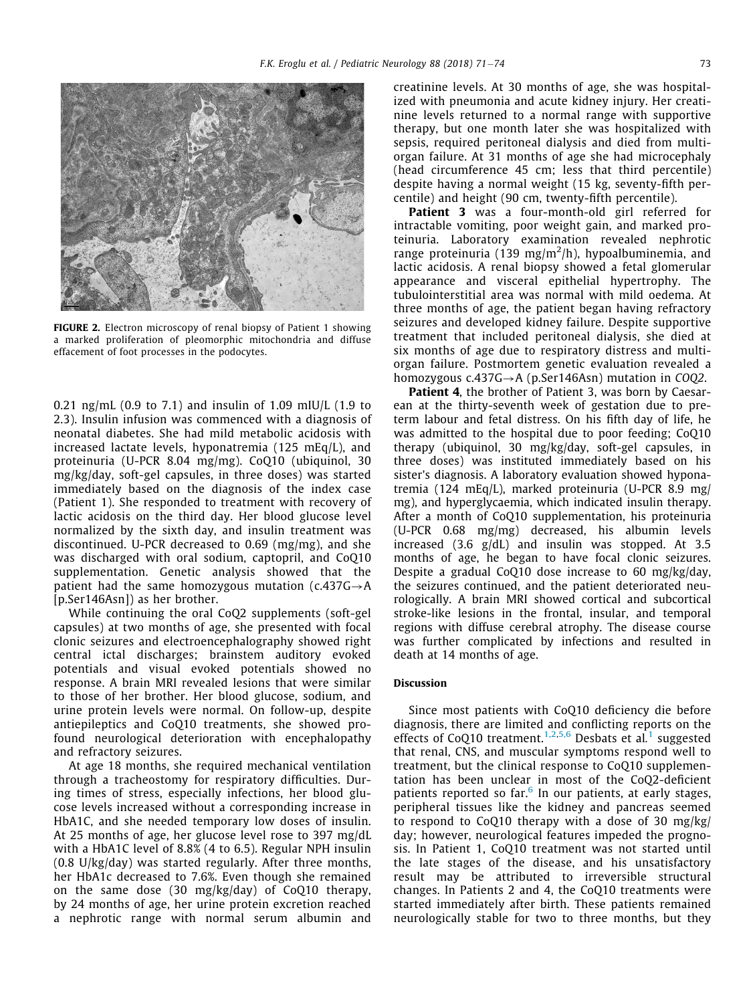<span id="page-2-0"></span>

FIGURE 2. Electron microscopy of renal biopsy of Patient 1 showing a marked proliferation of pleomorphic mitochondria and diffuse effacement of foot processes in the podocytes.

0.21 ng/mL (0.9 to 7.1) and insulin of 1.09 mIU/L (1.9 to 2.3). Insulin infusion was commenced with a diagnosis of neonatal diabetes. She had mild metabolic acidosis with increased lactate levels, hyponatremia (125 mEq/L), and proteinuria (U-PCR 8.04 mg/mg). CoQ10 (ubiquinol, 30 mg/kg/day, soft-gel capsules, in three doses) was started immediately based on the diagnosis of the index case (Patient 1). She responded to treatment with recovery of lactic acidosis on the third day. Her blood glucose level normalized by the sixth day, and insulin treatment was discontinued. U-PCR decreased to 0.69 (mg/mg), and she was discharged with oral sodium, captopril, and CoQ10 supplementation. Genetic analysis showed that the patient had the same homozygous mutation (c.437G $\rightarrow$ A [p.Ser146Asn]) as her brother.

While continuing the oral CoQ2 supplements (soft-gel capsules) at two months of age, she presented with focal clonic seizures and electroencephalography showed right central ictal discharges; brainstem auditory evoked potentials and visual evoked potentials showed no response. A brain MRI revealed lesions that were similar to those of her brother. Her blood glucose, sodium, and urine protein levels were normal. On follow-up, despite antiepileptics and CoQ10 treatments, she showed profound neurological deterioration with encephalopathy and refractory seizures.

At age 18 months, she required mechanical ventilation through a tracheostomy for respiratory difficulties. During times of stress, especially infections, her blood glucose levels increased without a corresponding increase in HbA1C, and she needed temporary low doses of insulin. At 25 months of age, her glucose level rose to 397 mg/dL with a HbA1C level of 8.8% (4 to 6.5). Regular NPH insulin (0.8 U/kg/day) was started regularly. After three months, her HbA1c decreased to 7.6%. Even though she remained on the same dose (30 mg/kg/day) of CoQ10 therapy, by 24 months of age, her urine protein excretion reached a nephrotic range with normal serum albumin and

creatinine levels. At 30 months of age, she was hospitalized with pneumonia and acute kidney injury. Her creatinine levels returned to a normal range with supportive therapy, but one month later she was hospitalized with sepsis, required peritoneal dialysis and died from multiorgan failure. At 31 months of age she had microcephaly (head circumference 45 cm; less that third percentile) despite having a normal weight (15 kg, seventy-fifth percentile) and height (90 cm, twenty-fifth percentile).

Patient 3 was a four-month-old girl referred for intractable vomiting, poor weight gain, and marked proteinuria. Laboratory examination revealed nephrotic range proteinuria (139 mg/m<sup>2</sup>/h), hypoalbuminemia, and lactic acidosis. A renal biopsy showed a fetal glomerular appearance and visceral epithelial hypertrophy. The tubulointerstitial area was normal with mild oedema. At three months of age, the patient began having refractory seizures and developed kidney failure. Despite supportive treatment that included peritoneal dialysis, she died at six months of age due to respiratory distress and multiorgan failure. Postmortem genetic evaluation revealed a homozygous  $c.437G \rightarrow A$  (p.Ser146Asn) mutation in COQ2.

Patient 4, the brother of Patient 3, was born by Caesarean at the thirty-seventh week of gestation due to preterm labour and fetal distress. On his fifth day of life, he was admitted to the hospital due to poor feeding; CoQ10 therapy (ubiquinol, 30 mg/kg/day, soft-gel capsules, in three doses) was instituted immediately based on his sister's diagnosis. A laboratory evaluation showed hyponatremia (124 mEq/L), marked proteinuria (U-PCR 8.9 mg/ mg), and hyperglycaemia, which indicated insulin therapy. After a month of CoQ10 supplementation, his proteinuria (U-PCR 0.68 mg/mg) decreased, his albumin levels increased (3.6 g/dL) and insulin was stopped. At 3.5 months of age, he began to have focal clonic seizures. Despite a gradual CoQ10 dose increase to 60 mg/kg/day, the seizures continued, and the patient deteriorated neurologically. A brain MRI showed cortical and subcortical stroke-like lesions in the frontal, insular, and temporal regions with diffuse cerebral atrophy. The disease course was further complicated by infections and resulted in death at 14 months of age.

## Discussion

Since most patients with CoQ10 deficiency die before diagnosis, there are limited and conflicting reports on the effects of CoQ10 treatment.<sup>[1,2](#page-3-0),[5,6](#page-3-2)</sup> Desbats et al.<sup>[1](#page-3-0)</sup> suggested that renal, CNS, and muscular symptoms respond well to treatment, but the clinical response to CoQ10 supplementation has been unclear in most of the CoQ2-deficient patients reported so far. $6$  In our patients, at early stages, peripheral tissues like the kidney and pancreas seemed to respond to CoQ10 therapy with a dose of 30 mg/kg/ day; however, neurological features impeded the prognosis. In Patient 1, CoQ10 treatment was not started until the late stages of the disease, and his unsatisfactory result may be attributed to irreversible structural changes. In Patients 2 and 4, the CoQ10 treatments were started immediately after birth. These patients remained neurologically stable for two to three months, but they